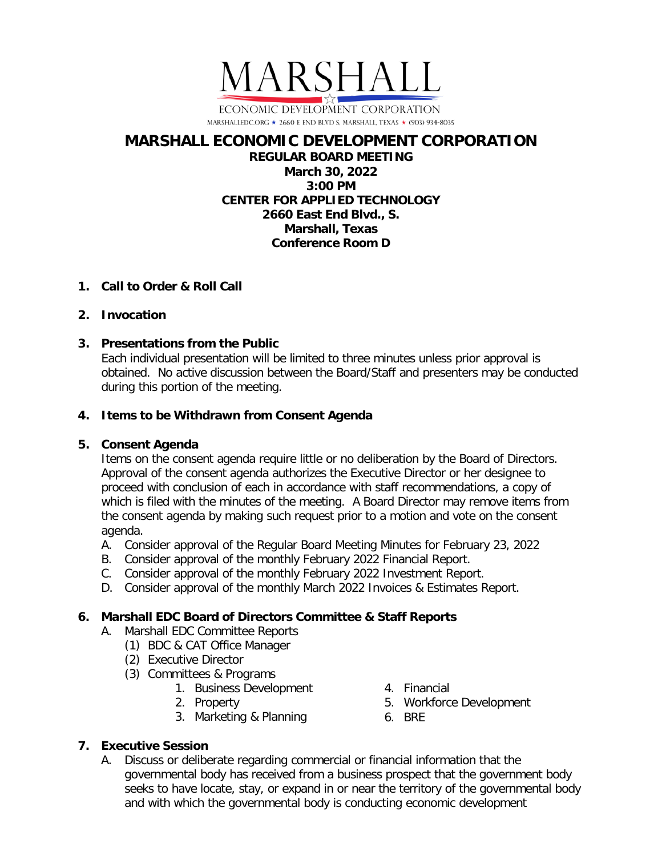

# **MARSHALL ECONOMIC DEVELOPMENT CORPORATION**

**REGULAR BOARD MEETING March 30, 2022 3:00 PM CENTER FOR APPLIED TECHNOLOGY 2660 East End Blvd., S. Marshall, Texas Conference Room D**

# **1. Call to Order & Roll Call**

# **2. Invocation**

# **3. Presentations from the Public**

Each individual presentation will be limited to three minutes unless prior approval is obtained. No active discussion between the Board/Staff and presenters may be conducted during this portion of the meeting.

# **4. Items to be Withdrawn from Consent Agenda**

# **5. Consent Agenda**

Items on the consent agenda require little or no deliberation by the Board of Directors. Approval of the consent agenda authorizes the Executive Director or her designee to proceed with conclusion of each in accordance with staff recommendations, a copy of which is filed with the minutes of the meeting. A Board Director may remove items from the consent agenda by making such request prior to a motion and vote on the consent agenda.

- A. Consider approval of the Regular Board Meeting Minutes for February 23, 2022
- B. Consider approval of the monthly February 2022 Financial Report.
- C. Consider approval of the monthly February 2022 Investment Report.
- D. Consider approval of the monthly March 2022 Invoices & Estimates Report.

# **6. Marshall EDC Board of Directors Committee & Staff Reports**

- A. Marshall EDC Committee Reports
	- (1) BDC & CAT Office Manager
	- (2) Executive Director
	- (3) Committees & Programs
		- 1. Business Development
		- 2. Property
		- 3. Marketing & Planning
- 4. Financial
	- 5. Workforce Development
- 6. BRE

# **7. Executive Session**

A. Discuss or deliberate regarding commercial or financial information that the governmental body has received from a business prospect that the government body seeks to have locate, stay, or expand in or near the territory of the governmental body and with which the governmental body is conducting economic development